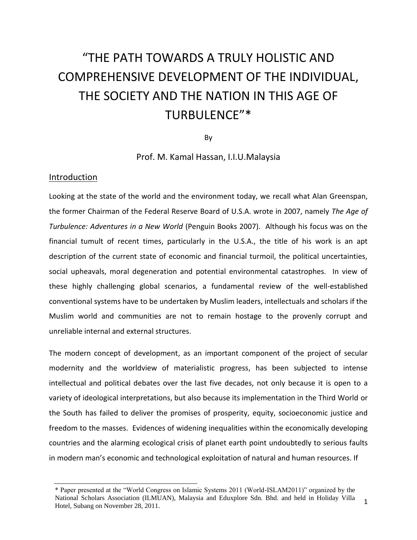# "THE PATH TOWARDS A TRULY HOLISTIC AND COMPREHENSIVE DEVELOPMENT OF THE INDIVIDUAL, THE SOCIETY AND THE NATION IN THIS AGE OF TURBULENCE"\*

By

Prof. M. Kamal Hassan, I.I.U.Malaysia

#### Introduction

Looking at the state of the world and the environment today, we recall what Alan Greenspan, the former Chairman of the Federal Reserve Board of U.S.A. wrote in 2007, namely *The Age of Turbulence: Adventures in a New World* (Penguin Books 2007). Although his focus was on the financial tumult of recent times, particularly in the U.S.A., the title of his work is an apt description of the current state of economic and financial turmoil, the political uncertainties, social upheavals, moral degeneration and potential environmental catastrophes. In view of these highly challenging global scenarios, a fundamental review of the well-established conventional systems have to be undertaken by Muslim leaders, intellectuals and scholars if the Muslim world and communities are not to remain hostage to the provenly corrupt and unreliable internal and external structures.

The modern concept of development, as an important component of the project of secular modernity and the worldview of materialistic progress, has been subjected to intense intellectual and political debates over the last five decades, not only because it is open to a variety of ideological interpretations, but also because its implementation in the Third World or the South has failed to deliver the promises of prosperity, equity, socioeconomic justice and freedom to the masses. Evidences of widening inequalities within the economically developing countries and the alarming ecological crisis of planet earth point undoubtedly to serious faults in modern man's economic and technological exploitation of natural and human resources. If

<sup>\*</sup> Paper presented at the "World Congress on Islamic Systems 2011 (World-ISLAM2011)" organized by the National Scholars Association (ILMUAN), Malaysia and Eduxplore Sdn. Bhd. and held in Holiday Villa Hotel, Subang on November 28, 2011.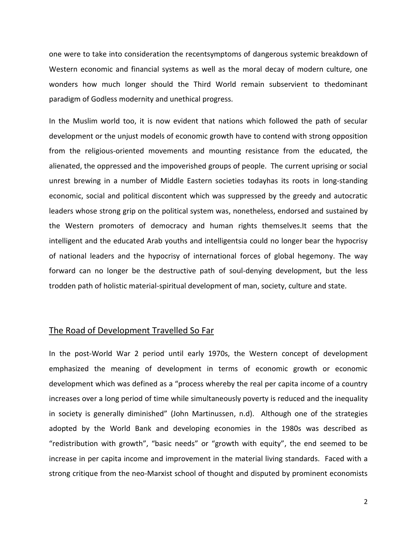one were to take into consideration the recentsymptoms of dangerous systemic breakdown of Western economic and financial systems as well as the moral decay of modern culture, one wonders how much longer should the Third World remain subservient to thedominant paradigm of Godless modernity and unethical progress.

In the Muslim world too, it is now evident that nations which followed the path of secular development or the unjust models of economic growth have to contend with strong opposition from the religious-oriented movements and mounting resistance from the educated, the alienated, the oppressed and the impoverished groups of people. The current uprising or social unrest brewing in a number of Middle Eastern societies todayhas its roots in long-standing economic, social and political discontent which was suppressed by the greedy and autocratic leaders whose strong grip on the political system was, nonetheless, endorsed and sustained by the Western promoters of democracy and human rights themselves.It seems that the intelligent and the educated Arab youths and intelligentsia could no longer bear the hypocrisy of national leaders and the hypocrisy of international forces of global hegemony. The way forward can no longer be the destructive path of soul-denying development, but the less trodden path of holistic material-spiritual development of man, society, culture and state.

### The Road of Development Travelled So Far

In the post-World War 2 period until early 1970s, the Western concept of development emphasized the meaning of development in terms of economic growth or economic development which was defined as a "process whereby the real per capita income of a country increases over a long period of time while simultaneously poverty is reduced and the inequality in society is generally diminished" (John Martinussen, n.d). Although one of the strategies adopted by the World Bank and developing economies in the 1980s was described as "redistribution with growth", "basic needs" or "growth with equity", the end seemed to be increase in per capita income and improvement in the material living standards. Faced with a strong critique from the neo-Marxist school of thought and disputed by prominent economists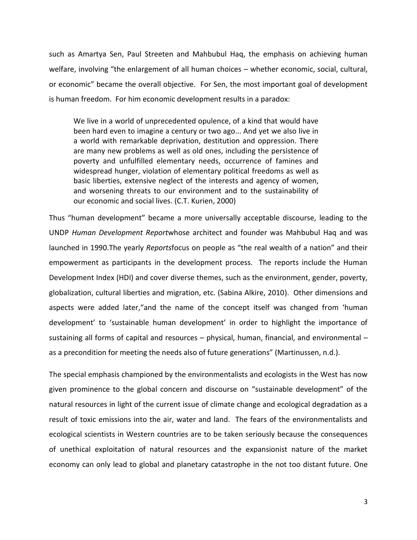such as Amartya Sen, Paul Streeten and Mahbubul Haq, the emphasis on achieving human welfare, involving "the enlargement of all human choices – whether economic, social, cultural, or economic" became the overall objective. For Sen, the most important goal of development is human freedom. For him economic development results in a paradox:

We live in a world of unprecedented opulence, of a kind that would have been hard even to imagine a century or two ago... And yet we also live in a world with remarkable deprivation, destitution and oppression. There are many new problems as well as old ones, including the persistence of poverty and unfulfilled elementary needs, occurrence of famines and widespread hunger, violation of elementary political freedoms as well as basic liberties, extensive neglect of the interests and agency of women, and worsening threats to our environment and to the sustainability of our economic and social lives. (C.T. Kurien, 2000)

Thus "human development" became a more universally acceptable discourse, leading to the UNDP *Human Development Report*whose architect and founder was Mahbubul Haq and was launched in 1990.The yearly *Reports*focus on people as "the real wealth of a nation" and their empowerment as participants in the development process. The reports include the Human Development Index (HDI) and cover diverse themes, such as the environment, gender, poverty, globalization, cultural liberties and migration, etc. (Sabina Alkire, 2010). Other dimensions and aspects were added later,"and the name of the concept itself was changed from 'human development' to 'sustainable human development' in order to highlight the importance of sustaining all forms of capital and resources – physical, human, financial, and environmental – as a precondition for meeting the needs also of future generations" (Martinussen, n.d.).

The special emphasis championed by the environmentalists and ecologists in the West has now given prominence to the global concern and discourse on "sustainable development" of the natural resources in light of the current issue of climate change and ecological degradation as a result of toxic emissions into the air, water and land. The fears of the environmentalists and ecological scientists in Western countries are to be taken seriously because the consequences of unethical exploitation of natural resources and the expansionist nature of the market economy can only lead to global and planetary catastrophe in the not too distant future. One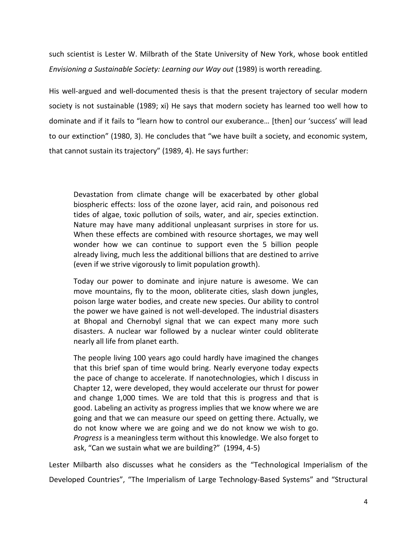such scientist is Lester W. Milbrath of the State University of New York, whose book entitled *Envisioning a Sustainable Society: Learning our Way out* (1989) is worth rereading.

His well-argued and well-documented thesis is that the present trajectory of secular modern society is not sustainable (1989; xi) He says that modern society has learned too well how to dominate and if it fails to "learn how to control our exuberance... [then] our 'success' will lead to our extinction" (1980, 3). He concludes that "we have built a society, and economic system, that cannot sustain its trajectory" (1989, 4). He says further:

Devastation from climate change will be exacerbated by other global biospheric effects: loss of the ozone layer, acid rain, and poisonous red tides of algae, toxic pollution of soils, water, and air, species extinction. Nature may have many additional unpleasant surprises in store for us. When these effects are combined with resource shortages, we may well wonder how we can continue to support even the 5 billion people already living, much less the additional billions that are destined to arrive (even if we strive vigorously to limit population growth).

Today our power to dominate and injure nature is awesome. We can move mountains, fly to the moon, obliterate cities, slash down jungles, poison large water bodies, and create new species. Our ability to control the power we have gained is not well-developed. The industrial disasters at Bhopal and Chernobyl signal that we can expect many more such disasters. A nuclear war followed by a nuclear winter could obliterate nearly all life from planet earth.

The people living 100 years ago could hardly have imagined the changes that this brief span of time would bring. Nearly everyone today expects the pace of change to accelerate. If nanotechnologies, which I discuss in Chapter 12, were developed, they would accelerate our thrust for power and change 1,000 times. We are told that this is progress and that is good. Labeling an activity as progress implies that we know where we are going and that we can measure our speed on getting there. Actually, we do not know where we are going and we do not know we wish to go. *Progress* is a meaningless term without this knowledge. We also forget to ask, "Can we sustain what we are building?" (1994, 4-5)

Lester Milbarth also discusses what he considers as the "Technological Imperialism of the Developed Countries", "The Imperialism of Large Technology-Based Systems" and "Structural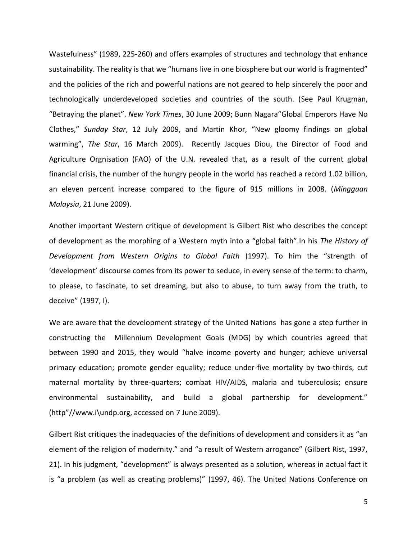Wastefulness" (1989, 225-260) and offers examples of structures and technology that enhance sustainability. The reality is that we "humans live in one biosphere but our world is fragmented" and the policies of the rich and powerful nations are not geared to help sincerely the poor and technologically underdeveloped societies and countries of the south. (See Paul Krugman, "Betraying the planet". *New York Times*, 30 June 2009; Bunn Nagara"Global Emperors Have No Clothes," *Sunday Star*, 12 July 2009, and Martin Khor, "New gloomy findings on global warming", *The Star*, 16 March 2009). Recently Jacques Diou, the Director of Food and Agriculture Orgnisation (FAO) of the U.N. revealed that, as a result of the current global financial crisis, the number of the hungry people in the world has reached a record 1.02 billion, an eleven percent increase compared to the figure of 915 millions in 2008. (*Mingguan Malaysia*, 21 June 2009).

Another important Western critique of development is Gilbert Rist who describes the concept of development as the morphing of a Western myth into a "global faith".In his *The History of Development from Western Origins to Global Faith* (1997). To him the "strength of 'development' discourse comes from its power to seduce, in every sense of the term: to charm, to please, to fascinate, to set dreaming, but also to abuse, to turn away from the truth, to deceive" (1997, I).

We are aware that the development strategy of the United Nations has gone a step further in constructing the Millennium Development Goals (MDG) by which countries agreed that between 1990 and 2015, they would "halve income poverty and hunger; achieve universal primacy education; promote gender equality; reduce under-five mortality by two-thirds, cut maternal mortality by three-quarters; combat HIV/AIDS, malaria and tuberculosis; ensure environmental sustainability, and build a global partnership for development." (http"//www.i\undp.org, accessed on 7 June 2009).

Gilbert Rist critiques the inadequacies of the definitions of development and considers it as "an element of the religion of modernity." and "a result of Western arrogance" (Gilbert Rist, 1997, 21). In his judgment, "development" is always presented as a solution, whereas in actual fact it is "a problem (as well as creating problems)" (1997, 46). The United Nations Conference on

5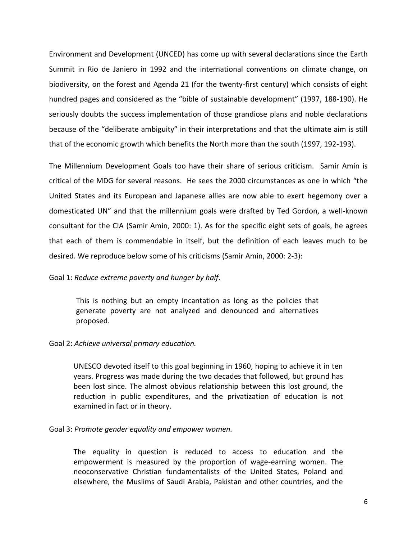Environment and Development (UNCED) has come up with several declarations since the Earth Summit in Rio de Janiero in 1992 and the international conventions on climate change, on biodiversity, on the forest and Agenda 21 (for the twenty-first century) which consists of eight hundred pages and considered as the "bible of sustainable development" (1997, 188-190). He seriously doubts the success implementation of those grandiose plans and noble declarations because of the "deliberate ambiguity" in their interpretations and that the ultimate aim is still that of the economic growth which benefits the North more than the south (1997, 192-193).

The Millennium Development Goals too have their share of serious criticism. Samir Amin is critical of the MDG for several reasons. He sees the 2000 circumstances as one in which "the United States and its European and Japanese allies are now able to exert hegemony over a domesticated UN" and that the millennium goals were drafted by Ted Gordon, a well-known consultant for the CIA (Samir Amin, 2000: 1). As for the specific eight sets of goals, he agrees that each of them is commendable in itself, but the definition of each leaves much to be desired. We reproduce below some of his criticisms (Samir Amin, 2000: 2-3):

#### Goal 1: *Reduce extreme poverty and hunger by half*.

This is nothing but an empty incantation as long as the policies that generate poverty are not analyzed and denounced and alternatives proposed.

#### Goal 2: *Achieve universal primary education.*

UNESCO devoted itself to this goal beginning in 1960, hoping to achieve it in ten years. Progress was made during the two decades that followed, but ground has been lost since. The almost obvious relationship between this lost ground, the reduction in public expenditures, and the privatization of education is not examined in fact or in theory.

#### Goal 3: *Promote gender equality and empower women.*

The equality in question is reduced to access to education and the empowerment is measured by the proportion of wage-earning women. The neoconservative Christian fundamentalists of the United States, Poland and elsewhere, the Muslims of Saudi Arabia, Pakistan and other countries, and the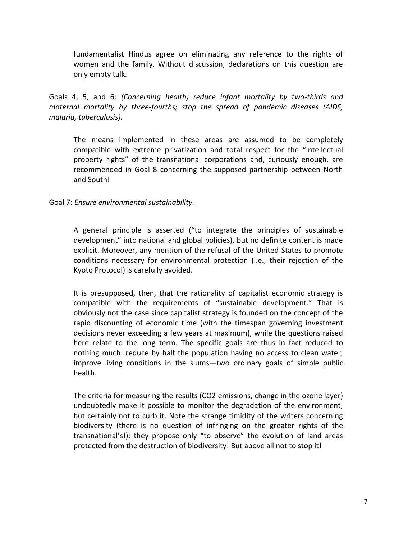fundamentalist Hindus agree on eliminating any reference to the rights of women and the family. Without discussion, declarations on this question are only empty talk.

Goals 4, 5, and 6: *(Concerning health) reduce infant mortality by two-thirds and maternal mortality by three-fourths; stop the spread of pandemic diseases (AIDS, malaria, tuberculosis).*

The means implemented in these areas are assumed to be completely compatible with extreme privatization and total respect for the "intellectual property rights" of the transnational corporations and, curiously enough, are recommended in Goal 8 concerning the supposed partnership between North and South!

## Goal 7: *Ensure environmental sustainability.*

A general principle is asserted ("to integrate the principles of sustainable development" into national and global policies), but no definite content is made explicit. Moreover, any mention of the refusal of the United States to promote conditions necessary for environmental protection (i.e., their rejection of the Kyoto Protocol) is carefully avoided.

It is presupposed, then, that the rationality of capitalist economic strategy is compatible with the requirements of "sustainable development." That is obviously not the case since capitalist strategy is founded on the concept of the rapid discounting of economic time (with the timespan governing investment decisions never exceeding a few years at maximum), while the questions raised here relate to the long term. The specific goals are thus in fact reduced to nothing much: reduce by half the population having no access to clean water, improve living conditions in the slums—two ordinary goals of simple public health.

The criteria for measuring the results (CO2 emissions, change in the ozone layer) undoubtedly make it possible to monitor the degradation of the environment, but certainly not to curb it. Note the strange timidity of the writers concerning biodiversity (there is no question of infringing on the greater rights of the transnational's!): they propose only "to observe" the evolution of land areas protected from the destruction of biodiversity! But above all not to stop it!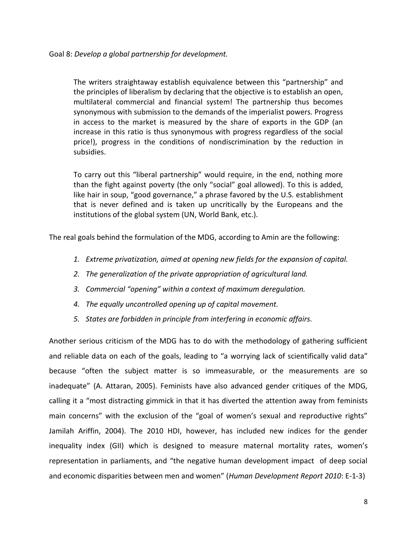The writers straightaway establish equivalence between this "partnership" and the principles of liberalism by declaring that the objective is to establish an open, multilateral commercial and financial system! The partnership thus becomes synonymous with submission to the demands of the imperialist powers. Progress in access to the market is measured by the share of exports in the GDP (an increase in this ratio is thus synonymous with progress regardless of the social price!), progress in the conditions of nondiscrimination by the reduction in subsidies.

To carry out this "liberal partnership" would require, in the end, nothing more than the fight against poverty (the only "social" goal allowed). To this is added, like hair in soup, "good governance," a phrase favored by the U.S. establishment that is never defined and is taken up uncritically by the Europeans and the institutions of the global system (UN, World Bank, etc.).

The real goals behind the formulation of the MDG, according to Amin are the following:

- *1. Extreme privatization, aimed at opening new fields for the expansion of capital.*
- *2. The generalization of the private appropriation of agricultural land.*
- *3. Commercial "opening" within a context of maximum deregulation.*
- *4. The equally uncontrolled opening up of capital movement.*
- *5. States are forbidden in principle from interfering in economic affairs.*

Another serious criticism of the MDG has to do with the methodology of gathering sufficient and reliable data on each of the goals, leading to "a worrying lack of scientifically valid data" because "often the subject matter is so immeasurable, or the measurements are so inadequate" (A. Attaran, 2005). Feminists have also advanced gender critiques of the MDG, calling it a "most distracting gimmick in that it has diverted the attention away from feminists main concerns" with the exclusion of the "goal of women's sexual and reproductive rights" Jamilah Ariffin, 2004). The 2010 HDI, however, has included new indices for the gender inequality index (GII) which is designed to measure maternal mortality rates, women's representation in parliaments, and "the negative human development impact of deep social and economic disparities between men and women" (*Human Development Report 2010*: E-1-3)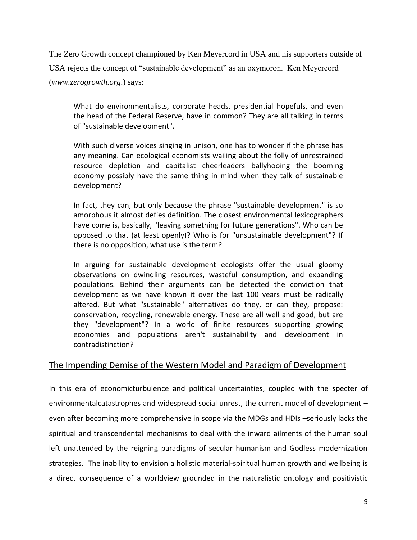The Zero Growth concept championed by Ken Meyercord in USA and his supporters outside of USA rejects the concept of "sustainable development" as an oxymoron. Ken Meyercord (*www.zerogrowth.org*.) says:

What do environmentalists, corporate heads, presidential hopefuls, and even the head of the Federal Reserve, have in common? They are all talking in terms of "sustainable development".

With such diverse voices singing in unison, one has to wonder if the phrase has any meaning. Can ecological economists wailing about the folly of unrestrained resource depletion and capitalist cheerleaders ballyhooing the booming economy possibly have the same thing in mind when they talk of sustainable development?

In fact, they can, but only because the phrase "sustainable development" is so amorphous it almost defies definition. The closest environmental lexicographers have come is, basically, "leaving something for future generations". Who can be opposed to that (at least openly)? Who is for "unsustainable development"? If there is no opposition, what use is the term?

In arguing for sustainable development ecologists offer the usual gloomy observations on dwindling resources, wasteful consumption, and expanding populations. Behind their arguments can be detected the conviction that development as we have known it over the last 100 years must be radically altered. But what "sustainable" alternatives do they, or can they, propose: conservation, recycling, renewable energy. These are all well and good, but are they "development"? In a world of finite resources supporting growing economies and populations aren't sustainability and development in contradistinction?

# The Impending Demise of the Western Model and Paradigm of Development

In this era of economicturbulence and political uncertainties, coupled with the specter of environmentalcatastrophes and widespread social unrest, the current model of development – even after becoming more comprehensive in scope via the MDGs and HDIs –seriously lacks the spiritual and transcendental mechanisms to deal with the inward ailments of the human soul left unattended by the reigning paradigms of secular humanism and Godless modernization strategies. The inability to envision a holistic material-spiritual human growth and wellbeing is a direct consequence of a worldview grounded in the naturalistic ontology and positivistic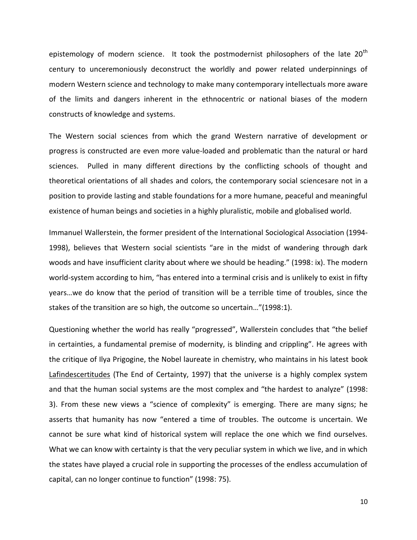epistemology of modern science. It took the postmodernist philosophers of the late  $20<sup>th</sup>$ century to unceremoniously deconstruct the worldly and power related underpinnings of modern Western science and technology to make many contemporary intellectuals more aware of the limits and dangers inherent in the ethnocentric or national biases of the modern constructs of knowledge and systems.

The Western social sciences from which the grand Western narrative of development or progress is constructed are even more value-loaded and problematic than the natural or hard sciences. Pulled in many different directions by the conflicting schools of thought and theoretical orientations of all shades and colors, the contemporary social sciencesare not in a position to provide lasting and stable foundations for a more humane, peaceful and meaningful existence of human beings and societies in a highly pluralistic, mobile and globalised world.

Immanuel Wallerstein, the former president of the International Sociological Association (1994- 1998), believes that Western social scientists "are in the midst of wandering through dark woods and have insufficient clarity about where we should be heading." (1998: ix). The modern world-system according to him, "has entered into a terminal crisis and is unlikely to exist in fifty years…we do know that the period of transition will be a terrible time of troubles, since the stakes of the transition are so high, the outcome so uncertain…"(1998:1).

Questioning whether the world has really "progressed", Wallerstein concludes that "the belief in certainties, a fundamental premise of modernity, is blinding and crippling". He agrees with the critique of Ilya Prigogine, the Nobel laureate in chemistry, who maintains in his latest book Lafindescertitudes (The End of Certainty, 1997) that the universe is a highly complex system and that the human social systems are the most complex and "the hardest to analyze" (1998: 3). From these new views a "science of complexity" is emerging. There are many signs; he asserts that humanity has now "entered a time of troubles. The outcome is uncertain. We cannot be sure what kind of historical system will replace the one which we find ourselves. What we can know with certainty is that the very peculiar system in which we live, and in which the states have played a crucial role in supporting the processes of the endless accumulation of capital, can no longer continue to function" (1998: 75).

10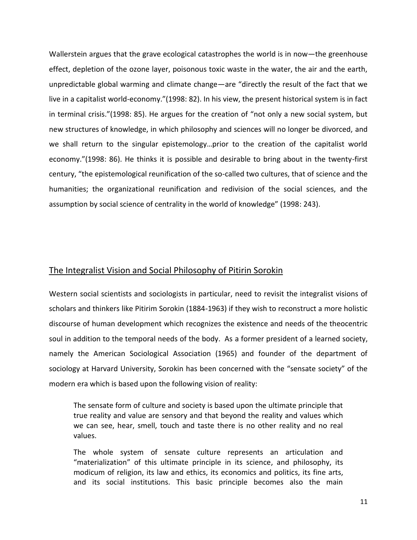Wallerstein argues that the grave ecological catastrophes the world is in now—the greenhouse effect, depletion of the ozone layer, poisonous toxic waste in the water, the air and the earth, unpredictable global warming and climate change—are "directly the result of the fact that we live in a capitalist world-economy."(1998: 82). In his view, the present historical system is in fact in terminal crisis."(1998: 85). He argues for the creation of "not only a new social system, but new structures of knowledge, in which philosophy and sciences will no longer be divorced, and we shall return to the singular epistemology…prior to the creation of the capitalist world economy."(1998: 86). He thinks it is possible and desirable to bring about in the twenty-first century, "the epistemological reunification of the so-called two cultures, that of science and the humanities; the organizational reunification and redivision of the social sciences, and the assumption by social science of centrality in the world of knowledge" (1998: 243).

# The Integralist Vision and Social Philosophy of Pitirin Sorokin

Western social scientists and sociologists in particular, need to revisit the integralist visions of scholars and thinkers like Pitirim Sorokin (1884-1963) if they wish to reconstruct a more holistic discourse of human development which recognizes the existence and needs of the theocentric soul in addition to the temporal needs of the body. As a former president of a learned society, namely the American Sociological Association (1965) and founder of the department of sociology at Harvard University, Sorokin has been concerned with the "sensate society" of the modern era which is based upon the following vision of reality:

The sensate form of culture and society is based upon the ultimate principle that true reality and value are sensory and that beyond the reality and values which we can see, hear, smell, touch and taste there is no other reality and no real values.

The whole system of sensate culture represents an articulation and "materialization" of this ultimate principle in its science, and philosophy, its modicum of religion, its law and ethics, its economics and politics, its fine arts, and its social institutions. This basic principle becomes also the main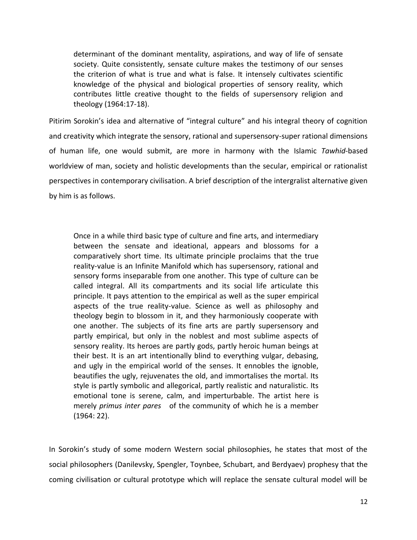determinant of the dominant mentality, aspirations, and way of life of sensate society. Quite consistently, sensate culture makes the testimony of our senses the criterion of what is true and what is false. It intensely cultivates scientific knowledge of the physical and biological properties of sensory reality, which contributes little creative thought to the fields of supersensory religion and theology (1964:17-18).

Pitirim Sorokin's idea and alternative of "integral culture" and his integral theory of cognition and creativity which integrate the sensory, rational and supersensory-super rational dimensions of human life, one would submit, are more in harmony with the Islamic *Tawhid*-based worldview of man, society and holistic developments than the secular, empirical or rationalist perspectives in contemporary civilisation. A brief description of the intergralist alternative given by him is as follows.

Once in a while third basic type of culture and fine arts, and intermediary between the sensate and ideational, appears and blossoms for a comparatively short time. Its ultimate principle proclaims that the true reality-value is an Infinite Manifold which has supersensory, rational and sensory forms inseparable from one another. This type of culture can be called integral. All its compartments and its social life articulate this principle. It pays attention to the empirical as well as the super empirical aspects of the true reality-value. Science as well as philosophy and theology begin to blossom in it, and they harmoniously cooperate with one another. The subjects of its fine arts are partly supersensory and partly empirical, but only in the noblest and most sublime aspects of sensory reality. Its heroes are partly gods, partly heroic human beings at their best. It is an art intentionally blind to everything vulgar, debasing, and ugly in the empirical world of the senses. It ennobles the ignoble, beautifies the ugly, rejuvenates the old, and immortalises the mortal. Its style is partly symbolic and allegorical, partly realistic and naturalistic. Its emotional tone is serene, calm, and imperturbable. The artist here is merely *primus inter pares* of the community of which he is a member (1964: 22).

In Sorokin's study of some modern Western social philosophies, he states that most of the social philosophers (Danilevsky, Spengler, Toynbee, Schubart, and Berdyaev) prophesy that the coming civilisation or cultural prototype which will replace the sensate cultural model will be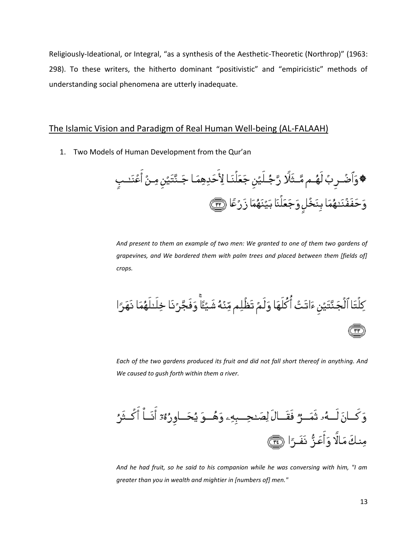Religiously-Ideational, or Integral, "as a synthesis of the Aesthetic-Theoretic (Northrop)" (1963: 298). To these writers, the hitherto dominant "positivistic" and "empiricistic" methods of understanding social phenomena are utterly inadequate.

# The Islamic Vision and Paradigm of Real Human Well-being (AL-FALAAH)

1. Two Models of Human Development from the Qur'an

*And present to them an example of two men: We granted to one of them two gardens of grapevines, and We bordered them with palm trees and placed between them [fields of] crops.*

ِكِلُنَا أَلُجَنَّتَيُنِ مَاتَتُ أُكُلَهَا وَلَمُ تَظُلِم مِّنُهُ شَيُئَاً وَفَجَّرُنَا خِلَدلَهُمَا نَهَرَ]  
تَ
$$
َ
$$

*Each of the two gardens produced its fruit and did not fall short thereof in anything. And We caused to gush forth within them a river.*



*And he had fruit, so he said to his companion while he was conversing with him, "I am greater than you in wealth and mightier in [numbers of] men."*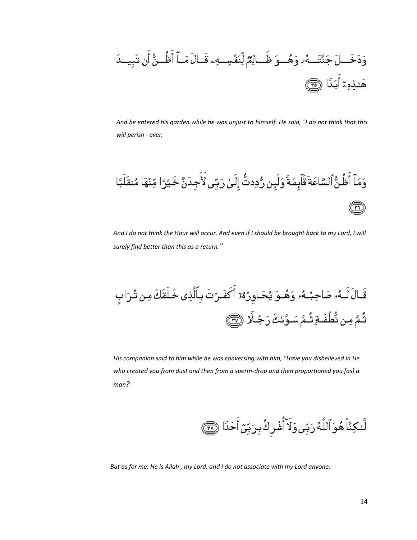

*And he entered his garden while he was unjust to himself. He said, "I do not think that this will perish - ever.*



*And I do not think the Hour will occur. And even if I should be brought back to my Lord, I will surely find better than this as a return."*

*His companion said to him while he was conversing with him, "Have you disbelieved in He who created you from dust and then from a sperm-drop and then proportioned you [as] a man?*

لَّـٰكِنَّا۠هُوَٱللَّهُۚرَبِّىۚ وَلَآ أُشۡرِكُۚ بِرَبِّىٓ أَحَدًا ۞

*But as for me, He is Allah , my Lord, and I do not associate with my Lord anyone.*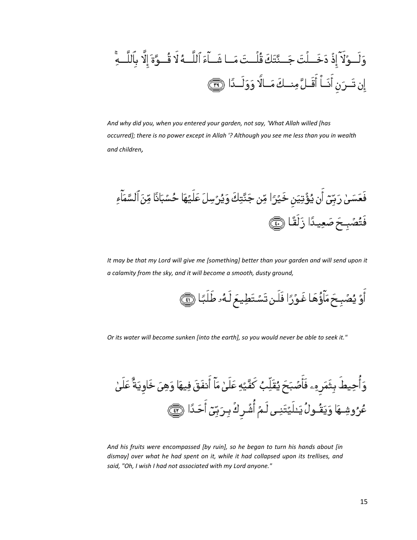وَلَـوُلَاَّ إِذُ دَخَـلُتَ جَـنَّتَكَ قُلُـتَ مَـا شَـاَءَ اَلَلَّـهُ لَا قُـوَّةَ إِلَّا يُالُلَـهِّ
$$
= \frac{1}{2} \mathbf{I} \cdot \mathbf{I}
$$
وَلَـدَّا

*And why did you, when you entered your garden, not say, 'What Allah willed [has occurred]; there is no power except in Allah '? Although you see me less than you in wealth and children,*

*It may be that my Lord will give me [something] better than your garden and will send upon it a calamity from the sky, and it will become a smooth, dusty ground,*

أَوْ يُصُبِحَ مَأَوُّهَا غَوْرًا فَلَن تَسُتَطِيعَ لَهُ طَلَبًا ١

*Or its water will become sunken [into the earth], so you would never be able to seek it."*

وَأُحِيطَ بِثَمَرِ مِـ فَأَصُبَحَ يُقَلِّبُ كَفَّيُهِ عَلَىٰ مَآ أَنفَقَ فِيهَا وَهِىَ خَاوِيَةٌ عَلَىٰ عُرُوشِـهَا وَيَقُـولُ يَـٰلَيْتَنِـى لَـمُ أُشُـركُ بِـرَبِّيّ أَحَـدًا ۞

*And his fruits were encompassed [by ruin], so he began to turn his hands about [in dismay] over what he had spent on it, while it had collapsed upon its trellises, and said, "Oh, I wish I had not associated with my Lord anyone."*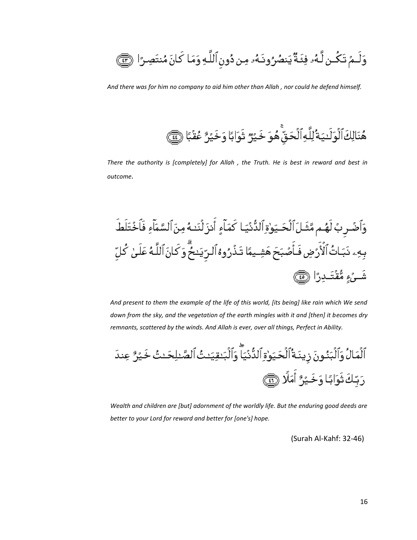وَلَـمٌ تَكُـن لَّـهُۥ فِئَـةٌ يَنصُرُونَـهُۥ مِن دُون ٱللَّـهِ وَمَا كَانَ مُنتَصِـرًا ۞

*And there was for him no company to aid him other than Allah , nor could he defend himself.*



*There the authority is [completely] for Allah , the Truth. He is best in reward and best in outcome.*



*And present to them the example of the life of this world, [its being] like rain which We send down from the sky, and the vegetation of the earth mingles with it and [then] it becomes dry remnants, scattered by the winds. And Allah is ever, over all things, Perfect in Ability.*

*Wealth and children are [but] adornment of the worldly life. But the enduring good deeds are better to your Lord for reward and better for [one's] hope.*

(Surah Al-Kahf: 32-46)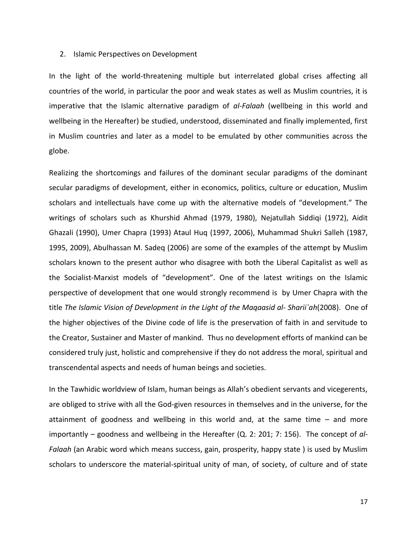#### 2. Islamic Perspectives on Development

In the light of the world-threatening multiple but interrelated global crises affecting all countries of the world, in particular the poor and weak states as well as Muslim countries, it is imperative that the Islamic alternative paradigm of *al-Falaah* (wellbeing in this world and wellbeing in the Hereafter) be studied, understood, disseminated and finally implemented, first in Muslim countries and later as a model to be emulated by other communities across the globe.

Realizing the shortcomings and failures of the dominant secular paradigms of the dominant secular paradigms of development, either in economics, politics, culture or education, Muslim scholars and intellectuals have come up with the alternative models of "development." The writings of scholars such as Khurshid Ahmad (1979, 1980), Nejatullah Siddiqi (1972), Aidit Ghazali (1990), Umer Chapra (1993) Ataul Huq (1997, 2006), Muhammad Shukri Salleh (1987, 1995, 2009), Abulhassan M. Sadeq (2006) are some of the examples of the attempt by Muslim scholars known to the present author who disagree with both the Liberal Capitalist as well as the Socialist-Marxist models of "development". One of the latest writings on the Islamic perspective of development that one would strongly recommend is by Umer Chapra with the title *The Islamic Vision of Development in the Light of the Maqaasid al- Sharii`ah*(2008). One of the higher objectives of the Divine code of life is the preservation of faith in and servitude to the Creator, Sustainer and Master of mankind. Thus no development efforts of mankind can be considered truly just, holistic and comprehensive if they do not address the moral, spiritual and transcendental aspects and needs of human beings and societies.

In the Tawhidic worldview of Islam, human beings as Allah's obedient servants and vicegerents, are obliged to strive with all the God-given resources in themselves and in the universe, for the attainment of goodness and wellbeing in this world and, at the same time – and more importantly – goodness and wellbeing in the Hereafter (Q. 2: 201; 7: 156). The concept of *al-Falaah* (an Arabic word which means success, gain, prosperity, happy state ) is used by Muslim scholars to underscore the material-spiritual unity of man, of society, of culture and of state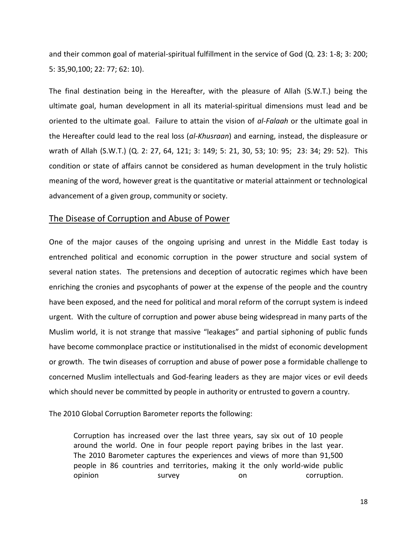and their common goal of material-spiritual fulfillment in the service of God (Q. 23: 1-8; 3: 200; 5: 35,90,100; 22: 77; 62: 10).

The final destination being in the Hereafter, with the pleasure of Allah (S.W.T.) being the ultimate goal, human development in all its material-spiritual dimensions must lead and be oriented to the ultimate goal. Failure to attain the vision of *al-Falaah* or the ultimate goal in the Hereafter could lead to the real loss (*al-Khusraan*) and earning, instead, the displeasure or wrath of Allah (S.W.T.) (Q. 2: 27, 64, 121; 3: 149; 5: 21, 30, 53; 10: 95; 23: 34; 29: 52). This condition or state of affairs cannot be considered as human development in the truly holistic meaning of the word, however great is the quantitative or material attainment or technological advancement of a given group, community or society.

#### The Disease of Corruption and Abuse of Power

One of the major causes of the ongoing uprising and unrest in the Middle East today is entrenched political and economic corruption in the power structure and social system of several nation states. The pretensions and deception of autocratic regimes which have been enriching the cronies and psycophants of power at the expense of the people and the country have been exposed, and the need for political and moral reform of the corrupt system is indeed urgent. With the culture of corruption and power abuse being widespread in many parts of the Muslim world, it is not strange that massive "leakages" and partial siphoning of public funds have become commonplace practice or institutionalised in the midst of economic development or growth. The twin diseases of corruption and abuse of power pose a formidable challenge to concerned Muslim intellectuals and God-fearing leaders as they are major vices or evil deeds which should never be committed by people in authority or entrusted to govern a country.

The 2010 Global Corruption Barometer reports the following:

Corruption has increased over the last three years, say six out of 10 people around the world. One in four people report paying bribes in the last year. The 2010 Barometer captures the experiences and views of more than 91,500 people in 86 countries and territories, making it the only world-wide public opinion survey on corruption.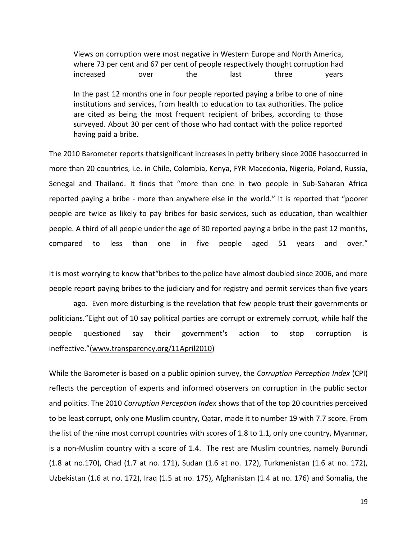Views on corruption were most negative in Western Europe and North America, where 73 per cent and 67 per cent of people respectively thought corruption had increased over the last three years

In the past 12 months one in four people reported paying a bribe to one of nine institutions and services, from health to education to tax authorities. The police are cited as being the most frequent recipient of bribes, according to those surveyed. About 30 per cent of those who had contact with the police reported having paid a bribe.

The 2010 Barometer reports thatsignificant increases in petty bribery since 2006 hasoccurred in more than 20 countries, i.e. in Chile, Colombia, Kenya, FYR Macedonia, Nigeria, Poland, Russia, Senegal and Thailand. It finds that "more than one in two people in Sub-Saharan Africa reported paying a bribe - more than anywhere else in the world." It is reported that "poorer people are twice as likely to pay bribes for basic services, such as education, than wealthier people. A third of all people under the age of 30 reported paying a bribe in the past 12 months, compared to less than one in five people aged 51 years and over."

It is most worrying to know that"bribes to the police have almost doubled since 2006, and more people report paying bribes to the judiciary and for registry and permit services than five years

ago. Even more disturbing is the revelation that few people trust their governments or politicians."Eight out of 10 say political parties are corrupt or extremely corrupt, while half the people questioned say their government's action to stop corruption is ineffective."(www.transparency.org/11April2010)

While the Barometer is based on a public opinion survey, the *Corruption Perception Index* (CPI) reflects the perception of experts and informed observers on corruption in the public sector and politics. The 2010 *Corruption Perception Index* shows that of the top 20 countries perceived to be least corrupt, only one Muslim country, Qatar, made it to number 19 with 7.7 score. From the list of the nine most corrupt countries with scores of 1.8 to 1.1, only one country, Myanmar, is a non-Muslim country with a score of 1.4. The rest are Muslim countries, namely Burundi (1.8 at no.170), Chad (1.7 at no. 171), Sudan (1.6 at no. 172), Turkmenistan (1.6 at no. 172), Uzbekistan (1.6 at no. 172), Iraq (1.5 at no. 175), Afghanistan (1.4 at no. 176) and Somalia, the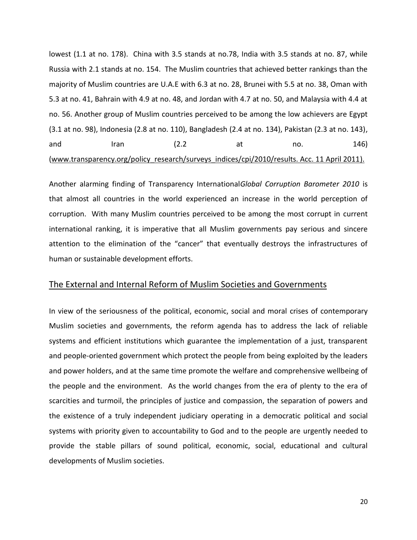lowest (1.1 at no. 178). China with 3.5 stands at no.78, India with 3.5 stands at no. 87, while Russia with 2.1 stands at no. 154. The Muslim countries that achieved better rankings than the majority of Muslim countries are U.A.E with 6.3 at no. 28, Brunei with 5.5 at no. 38, Oman with 5.3 at no. 41, Bahrain with 4.9 at no. 48, and Jordan with 4.7 at no. 50, and Malaysia with 4.4 at no. 56. Another group of Muslim countries perceived to be among the low achievers are Egypt (3.1 at no. 98), Indonesia (2.8 at no. 110), Bangladesh (2.4 at no. 134), Pakistan (2.3 at no. 143), and Iran (2.2 at no. 146) (www.transparency.org/policy research/surveys indices/cpi/2010/results. Acc. 11 April 2011).

Another alarming finding of Transparency International*Global Corruption Barometer 2010* is that almost all countries in the world experienced an increase in the world perception of corruption. With many Muslim countries perceived to be among the most corrupt in current international ranking, it is imperative that all Muslim governments pay serious and sincere attention to the elimination of the "cancer" that eventually destroys the infrastructures of human or sustainable development efforts.

#### The External and Internal Reform of Muslim Societies and Governments

In view of the seriousness of the political, economic, social and moral crises of contemporary Muslim societies and governments, the reform agenda has to address the lack of reliable systems and efficient institutions which guarantee the implementation of a just, transparent and people-oriented government which protect the people from being exploited by the leaders and power holders, and at the same time promote the welfare and comprehensive wellbeing of the people and the environment. As the world changes from the era of plenty to the era of scarcities and turmoil, the principles of justice and compassion, the separation of powers and the existence of a truly independent judiciary operating in a democratic political and social systems with priority given to accountability to God and to the people are urgently needed to provide the stable pillars of sound political, economic, social, educational and cultural developments of Muslim societies.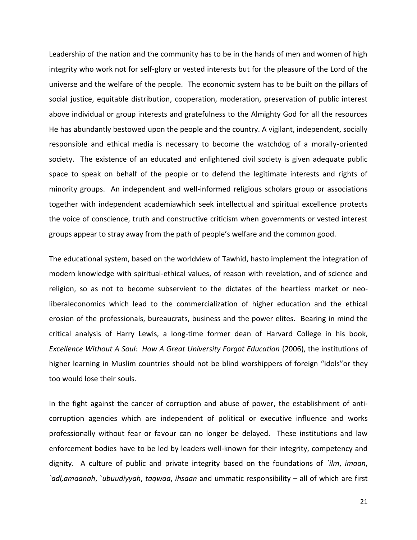Leadership of the nation and the community has to be in the hands of men and women of high integrity who work not for self-glory or vested interests but for the pleasure of the Lord of the universe and the welfare of the people. The economic system has to be built on the pillars of social justice, equitable distribution, cooperation, moderation, preservation of public interest above individual or group interests and gratefulness to the Almighty God for all the resources He has abundantly bestowed upon the people and the country. A vigilant, independent, socially responsible and ethical media is necessary to become the watchdog of a morally-oriented society. The existence of an educated and enlightened civil society is given adequate public space to speak on behalf of the people or to defend the legitimate interests and rights of minority groups. An independent and well-informed religious scholars group or associations together with independent academiawhich seek intellectual and spiritual excellence protects the voice of conscience, truth and constructive criticism when governments or vested interest groups appear to stray away from the path of people's welfare and the common good.

The educational system, based on the worldview of Tawhid, hasto implement the integration of modern knowledge with spiritual-ethical values, of reason with revelation, and of science and religion, so as not to become subservient to the dictates of the heartless market or neoliberaleconomics which lead to the commercialization of higher education and the ethical erosion of the professionals, bureaucrats, business and the power elites. Bearing in mind the critical analysis of Harry Lewis, a long-time former dean of Harvard College in his book, *Excellence Without A Soul: How A Great University Forgot Education* (2006), the institutions of higher learning in Muslim countries should not be blind worshippers of foreign "idols"or they too would lose their souls.

In the fight against the cancer of corruption and abuse of power, the establishment of anticorruption agencies which are independent of political or executive influence and works professionally without fear or favour can no longer be delayed. These institutions and law enforcement bodies have to be led by leaders well-known for their integrity, competency and dignity. A culture of public and private integrity based on the foundations of *`ilm*, *imaan*, *`adl,amaanah*, `*ubuudiyyah*, *taqwaa*, *ihsaan* and ummatic responsibility – all of which are first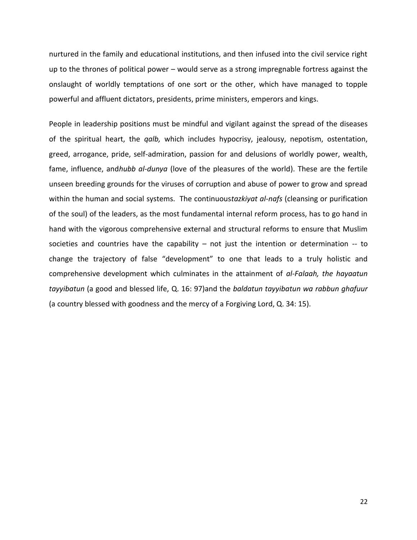nurtured in the family and educational institutions, and then infused into the civil service right up to the thrones of political power – would serve as a strong impregnable fortress against the onslaught of worldly temptations of one sort or the other, which have managed to topple powerful and affluent dictators, presidents, prime ministers, emperors and kings.

People in leadership positions must be mindful and vigilant against the spread of the diseases of the spiritual heart, the *qalb,* which includes hypocrisy, jealousy, nepotism, ostentation, greed, arrogance, pride, self-admiration, passion for and delusions of worldly power, wealth, fame, influence, and*hubb al-dunya* (love of the pleasures of the world). These are the fertile unseen breeding grounds for the viruses of corruption and abuse of power to grow and spread within the human and social systems. The continuous*tazkiyat al-nafs* (cleansing or purification of the soul) of the leaders, as the most fundamental internal reform process, has to go hand in hand with the vigorous comprehensive external and structural reforms to ensure that Muslim societies and countries have the capability  $-$  not just the intention or determination  $-$  to change the trajectory of false "development" to one that leads to a truly holistic and comprehensive development which culminates in the attainment of *al-Falaah, the hayaatun tayyibatun* (a good and blessed life, Q. 16: 97)and the *baldatun tayyibatun wa rabbun ghafuur* (a country blessed with goodness and the mercy of a Forgiving Lord, Q. 34: 15).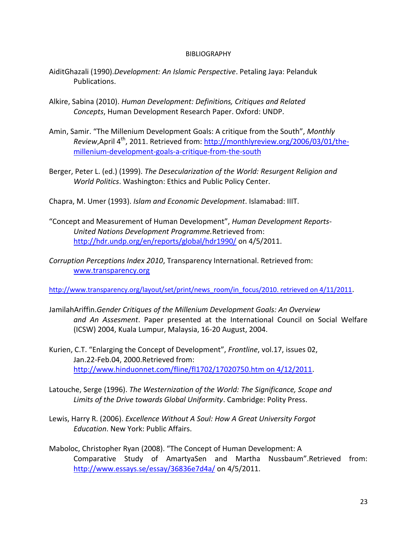#### BIBLIOGRAPHY

- AiditGhazali (1990).*Development: An Islamic Perspective*. Petaling Jaya: Pelanduk Publications.
- Alkire, Sabina (2010). *Human Development: Definitions, Critiques and Related Concepts*, Human Development Research Paper. Oxford: UNDP.
- Amin, Samir. "The Millenium Development Goals: A critique from the South", *Monthly Review*,April 4<sup>th</sup>, 2011. Retrieved from: [http://monthlyreview.org/2006/03/01/the](http://monthlyreview.org/2006/03/01/the-millenium-development-goals-a-critique-from-the-south)[millenium-development-goals-a-critique-from-the-south](http://monthlyreview.org/2006/03/01/the-millenium-development-goals-a-critique-from-the-south)
- Berger, Peter L. (ed.) (1999). *The Desecularization of the World: Resurgent Religion and World Politics*. Washington: Ethics and Public Policy Center.

Chapra, M. Umer (1993). *Islam and Economic Development*. Islamabad: IIIT.

- "Concept and Measurement of Human Development", *Human Development Reports-United Nations Development Programme.*Retrieved from: <http://hdr.undp.org/en/reports/global/hdr1990/> on 4/5/2011.
- *Corruption Perceptions Index 2010*, Transparency International. Retrieved from: [www.transparency.org](http://www.transparency.org/)

[http://www.transparency.org/layout/set/print/news\\_room/in\\_focus/2010. retrieved on 4/11/2011](http://www.transparency.org/layout/set/print/news_room/in_focus/2010.%20retrieved%20on%204/11/2011).

- JamilahAriffin.*Gender Critiques of the Millenium Development Goals: An Overview and An Assesment*. Paper presented at the International Council on Social Welfare (ICSW) 2004, Kuala Lumpur, Malaysia, 16-20 August, 2004.
- Kurien, C.T. "Enlarging the Concept of Development", *Frontline*, vol.17, issues 02, Jan.22-Feb.04, 2000.Retrieved from: [http://www.hinduonnet.com/fline/fl1702/17020750.htm on 4/12/2011.](http://www.hinduonnet.com/fline/fl1702/17020750.htm%20on%204/12/2011)
- Latouche, Serge (1996). *The Westernization of the World: The Significance, Scope and Limits of the Drive towards Global Uniformity*. Cambridge: Polity Press.
- Lewis, Harry R. (2006). *Excellence Without A Soul: How A Great University Forgot Education*. New York: Public Affairs.
- Maboloc, Christopher Ryan (2008). "The Concept of Human Development: A Comparative Study of AmartyaSen and Martha Nussbaum".Retrieved from: <http://www.essays.se/essay/36836e7d4a/> on 4/5/2011.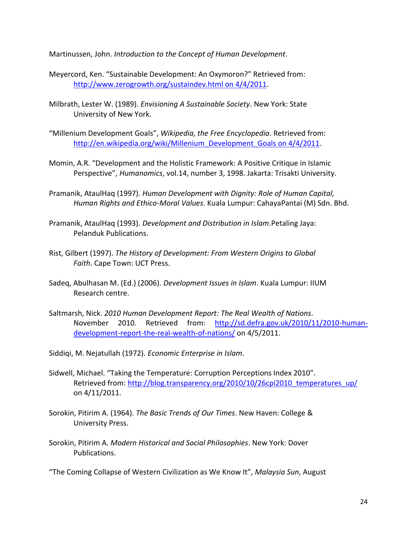Martinussen, John. *Introduction to the Concept of Human Development*.

- Meyercord, Ken. "Sustainable Development: An Oxymoron?" Retrieved from: [http://www.zerogrowth.org/sustaindev.html on 4/4/2011.](http://www.zerogrowth.org/sustaindev.html%20on%204/4/2011)
- Milbrath, Lester W. (1989). *Envisioning A Sustainable Society*. New York: State University of New York.
- "Millenium Development Goals", *Wikipedia, the Free Encyclopedia*. Retrieved from: [http://en.wikipedia.org/wiki/Millenium\\_Development\\_Goals on 4/4/2011.](http://en.wikipedia.org/wiki/Millenium_Development_Goals%20on%204/4/2011)
- Momin, A.R. "Development and the Holistic Framework: A Positive Critique in Islamic Perspective", *Humanomics*, vol.14, number 3, 1998. Jakarta: Trisakti University.
- Pramanik, AtaulHaq (1997). *Human Development with Dignity: Role of Human Capital, Human Rights and Ethico-Moral Values*. Kuala Lumpur: CahayaPantai (M) Sdn. Bhd.
- Pramanik, AtaulHaq (1993). *Development and Distribution in Islam*.Petaling Jaya: Pelanduk Publications.
- Rist, Gilbert (1997). *The History of Development: From Western Origins to Global Faith*. Cape Town: UCT Press.
- Sadeq, Abulhasan M. (Ed.) (2006). *Development Issues in Islam*. Kuala Lumpur: IIUM Research centre.
- Saltmarsh, Nick. *2010 Human Development Report: The Real Wealth of Nations*. November 2010. Retrieved from: [http://sd.defra.gov.uk/2010/11/2010-human](http://sd.defra.gov.uk/2010/11/2010-human-development-report-the-real-wealth-of-nations/)[development-report-the-real-wealth-of-nations/](http://sd.defra.gov.uk/2010/11/2010-human-development-report-the-real-wealth-of-nations/) on 4/5/2011.

Siddiqi, M. Nejatullah (1972). *Economic Enterprise in Islam*.

- Sidwell, Michael. "Taking the Temperature: Corruption Perceptions Index 2010". Retrieved from: [http://blog.transparency.org/2010/10/26cpi2010\\_temperatures\\_up/](http://blog.transparency.org/2010/10/26cpi2010_temperatures_up/) on 4/11/2011.
- Sorokin, Pitirim A. (1964). *The Basic Trends of Our Times*. New Haven: College & University Press.
- Sorokin, Pitirim A. *Modern Historical and Social Philosophies*. New York: Dover Publications.

"The Coming Collapse of Western Civilization as We Know It", *Malaysia Sun*, August